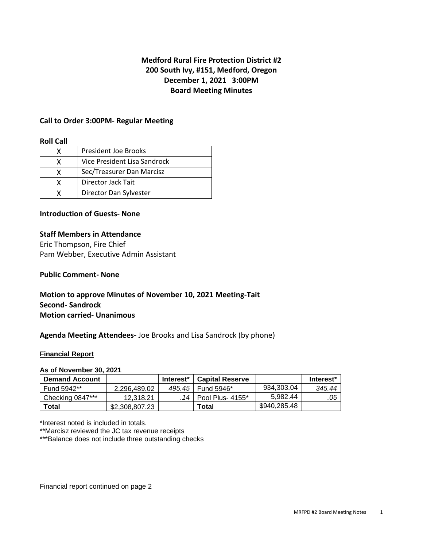# **Medford Rural Fire Protection District #2 200 South Ivy, #151, Medford, Oregon December 1, 2021 3:00PM Board Meeting Minutes**

## **Call to Order 3:00PM- Regular Meeting**

### **Roll Call**

|   | <b>President Joe Brooks</b>  |
|---|------------------------------|
|   | Vice President Lisa Sandrock |
| x | Sec/Treasurer Dan Marcisz    |
| x | Director Jack Tait           |
|   | Director Dan Sylvester       |

### **Introduction of Guests- None**

## **Staff Members in Attendance**

Eric Thompson, Fire Chief Pam Webber, Executive Admin Assistant

## **Public Comment- None**

## **Motion to approve Minutes of November 10, 2021 Meeting-Tait Second- Sandrock Motion carried- Unanimous**

### **Agenda Meeting Attendees-** Joe Brooks and Lisa Sandrock (by phone)

### **Financial Report**

### **As of November 30, 2021**

| <b>Demand Account</b> |                | Interest* | <b>Capital Reserve</b> |              | Interest <sup>*</sup> |
|-----------------------|----------------|-----------|------------------------|--------------|-----------------------|
| Fund 5942**           | 2.296.489.02   |           | 495.45 Fund 5946*      | 934,303.04   | 345.44                |
| Checking 0847***      | 12.318.21      |           | .14   Pool Plus- 4155* | 5.982.44     | .05                   |
| <b>Total</b>          | \$2,308,807.23 |           | Total                  | \$940,285.48 |                       |

\*Interest noted is included in totals.

\*\*Marcisz reviewed the JC tax revenue receipts

\*\*\*Balance does not include three outstanding checks

Financial report continued on page 2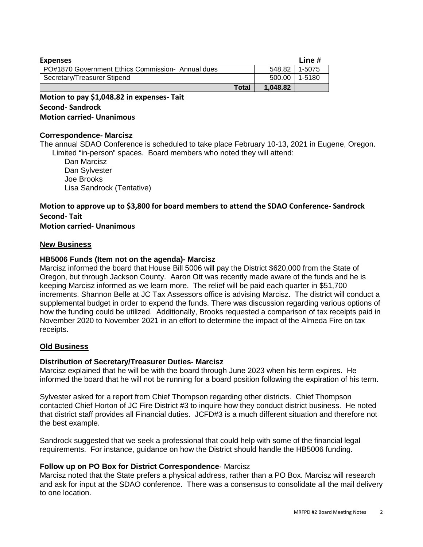| <b>Expenses</b>                                   |              | Line #   |        |
|---------------------------------------------------|--------------|----------|--------|
| PO#1870 Government Ethics Commission- Annual dues |              | 548.82   | 1-5075 |
| Secretary/Treasurer Stipend                       |              | 500.00   | 1-5180 |
|                                                   | <b>Total</b> | 1.048.82 |        |

## **Motion to pay \$1,048.82 in expenses- Tait Second- Sandrock Motion carried- Unanimous**

## **Correspondence- Marcisz**

The annual SDAO Conference is scheduled to take place February 10-13, 2021 in Eugene, Oregon. Limited "in-person" spaces. Board members who noted they will attend:

 Dan Marcisz Dan Sylvester Joe Brooks Lisa Sandrock (Tentative)

# **Motion to approve up to \$3,800 for board members to attend the SDAO Conference- Sandrock Second- Tait**

**Motion carried- Unanimous**

### **New Business**

### **HB5006 Funds (Item not on the agenda)- Marcisz**

Marcisz informed the board that House Bill 5006 will pay the District \$620,000 from the State of Oregon, but through Jackson County. Aaron Ott was recently made aware of the funds and he is keeping Marcisz informed as we learn more. The relief will be paid each quarter in \$51,700 increments. Shannon Belle at JC Tax Assessors office is advising Marcisz. The district will conduct a supplemental budget in order to expend the funds. There was discussion regarding various options of how the funding could be utilized. Additionally, Brooks requested a comparison of tax receipts paid in November 2020 to November 2021 in an effort to determine the impact of the Almeda Fire on tax receipts.

### **Old Business**

### **Distribution of Secretary/Treasurer Duties- Marcisz**

Marcisz explained that he will be with the board through June 2023 when his term expires. He informed the board that he will not be running for a board position following the expiration of his term.

Sylvester asked for a report from Chief Thompson regarding other districts. Chief Thompson contacted Chief Horton of JC Fire District #3 to inquire how they conduct district business. He noted that district staff provides all Financial duties. JCFD#3 is a much different situation and therefore not the best example.

Sandrock suggested that we seek a professional that could help with some of the financial legal requirements. For instance, guidance on how the District should handle the HB5006 funding.

## **Follow up on PO Box for District Correspondence**- Marcisz

Marcisz noted that the State prefers a physical address, rather than a PO Box. Marcisz will research and ask for input at the SDAO conference. There was a consensus to consolidate all the mail delivery to one location.